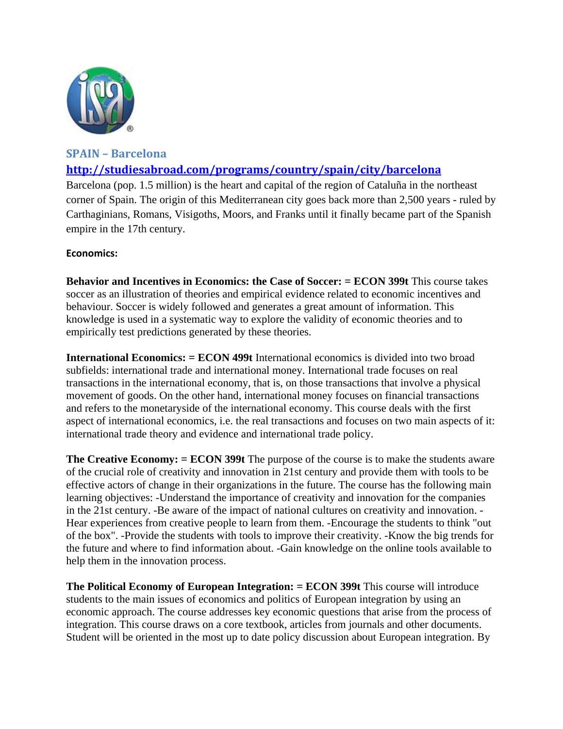

# **SPAIN – Barcelona**

# **http://studiesabroad.com/programs/country/spain/city/barcelona**

Barcelona (pop. 1.5 million) is the heart and capital of the region of Cataluña in the northeast corner of Spain. The origin of this Mediterranean city goes back more than 2,500 years - ruled by Carthaginians, Romans, Visigoths, Moors, and Franks until it finally became part of the Spanish empire in the 17th century.

## **Economics:**

**Behavior and Incentives in Economics: the Case of Soccer: = ECON 399t** This course takes soccer as an illustration of theories and empirical evidence related to economic incentives and behaviour. Soccer is widely followed and generates a great amount of information. This knowledge is used in a systematic way to explore the validity of economic theories and to empirically test predictions generated by these theories.

**International Economics: = ECON 499t** International economics is divided into two broad subfields: international trade and international money. International trade focuses on real transactions in the international economy, that is, on those transactions that involve a physical movement of goods. On the other hand, international money focuses on financial transactions and refers to the monetaryside of the international economy. This course deals with the first aspect of international economics, i.e. the real transactions and focuses on two main aspects of it: international trade theory and evidence and international trade policy.

**The Creative Economy: = ECON 399t** The purpose of the course is to make the students aware of the crucial role of creativity and innovation in 21st century and provide them with tools to be effective actors of change in their organizations in the future. The course has the following main learning objectives: -Understand the importance of creativity and innovation for the companies in the 21st century. -Be aware of the impact of national cultures on creativity and innovation. - Hear experiences from creative people to learn from them. -Encourage the students to think "out of the box". -Provide the students with tools to improve their creativity. -Know the big trends for the future and where to find information about. -Gain knowledge on the online tools available to help them in the innovation process.

**The Political Economy of European Integration: = ECON 399t** This course will introduce students to the main issues of economics and politics of European integration by using an economic approach. The course addresses key economic questions that arise from the process of integration. This course draws on a core textbook, articles from journals and other documents. Student will be oriented in the most up to date policy discussion about European integration. By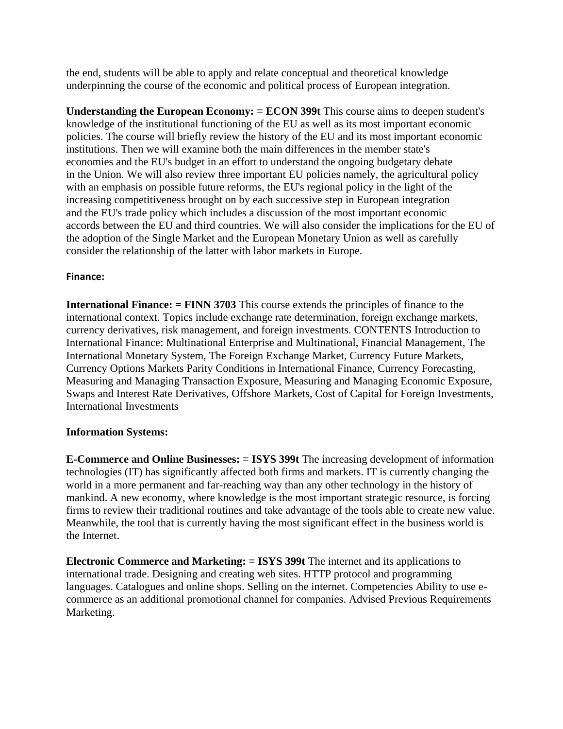the end, students will be able to apply and relate conceptual and theoretical knowledge underpinning the course of the economic and political process of European integration.

**Understanding the European Economy: = ECON 399t** This course aims to deepen student's knowledge of the institutional functioning of the EU as well as its most important economic policies. The course will briefly review the history of the EU and its most important economic institutions. Then we will examine both the main differences in the member state's economies and the EU's budget in an effort to understand the ongoing budgetary debate in the Union. We will also review three important EU policies namely, the agricultural policy with an emphasis on possible future reforms, the EU's regional policy in the light of the increasing competitiveness brought on by each successive step in European integration and the EU's trade policy which includes a discussion of the most important economic accords between the EU and third countries. We will also consider the implications for the EU of the adoption of the Single Market and the European Monetary Union as well as carefully consider the relationship of the latter with labor markets in Europe.

### **Finance:**

**International Finance: = FINN 3703** This course extends the principles of finance to the international context. Topics include exchange rate determination, foreign exchange markets, currency derivatives, risk management, and foreign investments. CONTENTS Introduction to International Finance: Multinational Enterprise and Multinational, Financial Management, The International Monetary System, The Foreign Exchange Market, Currency Future Markets, Currency Options Markets Parity Conditions in International Finance, Currency Forecasting, Measuring and Managing Transaction Exposure, Measuring and Managing Economic Exposure, Swaps and Interest Rate Derivatives, Offshore Markets, Cost of Capital for Foreign Investments, International Investments

## **Information Systems:**

**E-Commerce and Online Businesses: = ISYS 399t** The increasing development of information technologies (IT) has significantly affected both firms and markets. IT is currently changing the world in a more permanent and far-reaching way than any other technology in the history of mankind. A new economy, where knowledge is the most important strategic resource, is forcing firms to review their traditional routines and take advantage of the tools able to create new value. Meanwhile, the tool that is currently having the most significant effect in the business world is the Internet.

**Electronic Commerce and Marketing: = ISYS 399t** The internet and its applications to international trade. Designing and creating web sites. HTTP protocol and programming languages. Catalogues and online shops. Selling on the internet. Competencies Ability to use ecommerce as an additional promotional channel for companies. Advised Previous Requirements Marketing.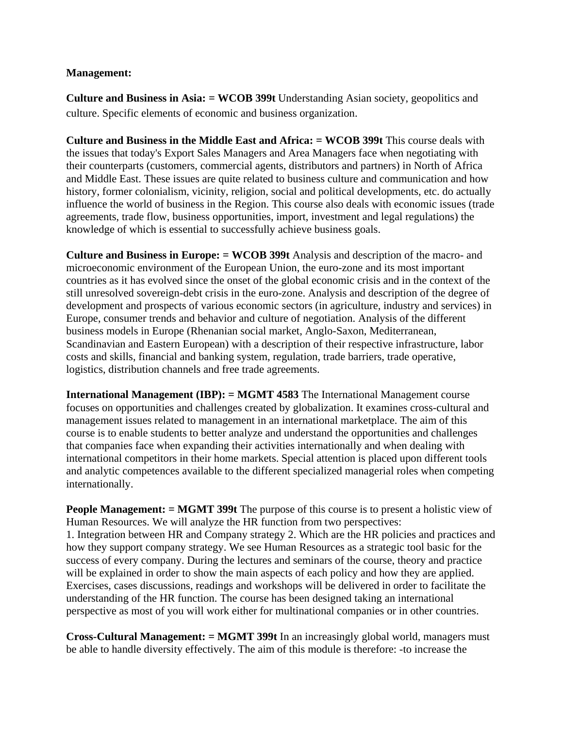#### **Management:**

**Culture and Business in Asia: = WCOB 399t** Understanding Asian society, geopolitics and culture. Specific elements of economic and business organization.

**Culture and Business in the Middle East and Africa: = WCOB 399t** This course deals with the issues that today's Export Sales Managers and Area Managers face when negotiating with their counterparts (customers, commercial agents, distributors and partners) in North of Africa and Middle East. These issues are quite related to business culture and communication and how history, former colonialism, vicinity, religion, social and political developments, etc. do actually influence the world of business in the Region. This course also deals with economic issues (trade agreements, trade flow, business opportunities, import, investment and legal regulations) the knowledge of which is essential to successfully achieve business goals.

**Culture and Business in Europe: = WCOB 399t** Analysis and description of the macro- and microeconomic environment of the European Union, the euro-zone and its most important countries as it has evolved since the onset of the global economic crisis and in the context of the still unresolved sovereign-debt crisis in the euro-zone. Analysis and description of the degree of development and prospects of various economic sectors (in agriculture, industry and services) in Europe, consumer trends and behavior and culture of negotiation. Analysis of the different business models in Europe (Rhenanian social market, Anglo-Saxon, Mediterranean, Scandinavian and Eastern European) with a description of their respective infrastructure, labor costs and skills, financial and banking system, regulation, trade barriers, trade operative, logistics, distribution channels and free trade agreements.

**International Management (IBP): = MGMT 4583** The International Management course focuses on opportunities and challenges created by globalization. It examines cross-cultural and management issues related to management in an international marketplace. The aim of this course is to enable students to better analyze and understand the opportunities and challenges that companies face when expanding their activities internationally and when dealing with international competitors in their home markets. Special attention is placed upon different tools and analytic competences available to the different specialized managerial roles when competing internationally.

**People Management: = MGMT 399t** The purpose of this course is to present a holistic view of Human Resources. We will analyze the HR function from two perspectives:

1. Integration between HR and Company strategy 2. Which are the HR policies and practices and how they support company strategy. We see Human Resources as a strategic tool basic for the success of every company. During the lectures and seminars of the course, theory and practice will be explained in order to show the main aspects of each policy and how they are applied. Exercises, cases discussions, readings and workshops will be delivered in order to facilitate the understanding of the HR function. The course has been designed taking an international perspective as most of you will work either for multinational companies or in other countries.

**Cross-Cultural Management: = MGMT 399t** In an increasingly global world, managers must be able to handle diversity effectively. The aim of this module is therefore: -to increase the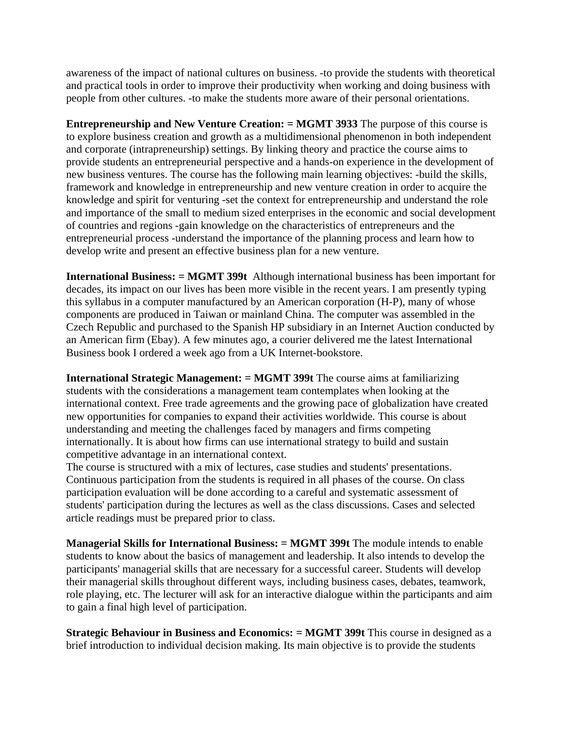awareness of the impact of national cultures on business. -to provide the students with theoretical and practical tools in order to improve their productivity when working and doing business with people from other cultures. -to make the students more aware of their personal orientations.

**Entrepreneurship and New Venture Creation: = MGMT 3933** The purpose of this course is to explore business creation and growth as a multidimensional phenomenon in both independent and corporate (intrapreneurship) settings. By linking theory and practice the course aims to provide students an entrepreneurial perspective and a hands-on experience in the development of new business ventures. The course has the following main learning objectives: -build the skills, framework and knowledge in entrepreneurship and new venture creation in order to acquire the knowledge and spirit for venturing -set the context for entrepreneurship and understand the role and importance of the small to medium sized enterprises in the economic and social development of countries and regions -gain knowledge on the characteristics of entrepreneurs and the entrepreneurial process -understand the importance of the planning process and learn how to develop write and present an effective business plan for a new venture.

**International Business: = MGMT 399t** Although international business has been important for decades, its impact on our lives has been more visible in the recent years. I am presently typing this syllabus in a computer manufactured by an American corporation (H-P), many of whose components are produced in Taiwan or mainland China. The computer was assembled in the Czech Republic and purchased to the Spanish HP subsidiary in an Internet Auction conducted by an American firm (Ebay). A few minutes ago, a courier delivered me the latest International Business book I ordered a week ago from a UK Internet-bookstore.

**International Strategic Management: = MGMT 399t** The course aims at familiarizing students with the considerations a management team contemplates when looking at the international context. Free trade agreements and the growing pace of globalization have created new opportunities for companies to expand their activities worldwide. This course is about understanding and meeting the challenges faced by managers and firms competing internationally. It is about how firms can use international strategy to build and sustain competitive advantage in an international context.

The course is structured with a mix of lectures, case studies and students' presentations. Continuous participation from the students is required in all phases of the course. On class participation evaluation will be done according to a careful and systematic assessment of students' participation during the lectures as well as the class discussions. Cases and selected article readings must be prepared prior to class.

**Managerial Skills for International Business: = MGMT 399t** The module intends to enable students to know about the basics of management and leadership. It also intends to develop the participants' managerial skills that are necessary for a successful career. Students will develop their managerial skills throughout different ways, including business cases, debates, teamwork, role playing, etc. The lecturer will ask for an interactive dialogue within the participants and aim to gain a final high level of participation.

**Strategic Behaviour in Business and Economics: = MGMT 399t** This course in designed as a brief introduction to individual decision making. Its main objective is to provide the students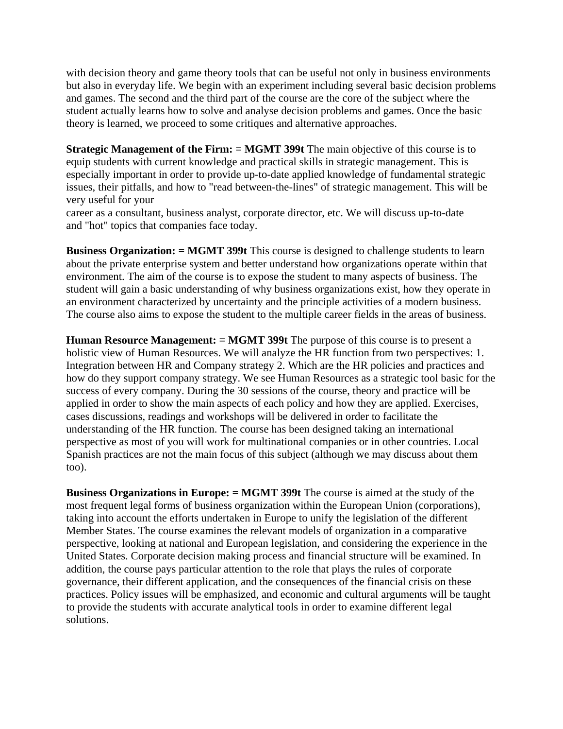with decision theory and game theory tools that can be useful not only in business environments but also in everyday life. We begin with an experiment including several basic decision problems and games. The second and the third part of the course are the core of the subject where the student actually learns how to solve and analyse decision problems and games. Once the basic theory is learned, we proceed to some critiques and alternative approaches.

**Strategic Management of the Firm: = MGMT 399t** The main objective of this course is to equip students with current knowledge and practical skills in strategic management. This is especially important in order to provide up-to-date applied knowledge of fundamental strategic issues, their pitfalls, and how to "read between-the-lines" of strategic management. This will be very useful for your

career as a consultant, business analyst, corporate director, etc. We will discuss up-to-date and "hot" topics that companies face today.

**Business Organization: = MGMT 399t** This course is designed to challenge students to learn about the private enterprise system and better understand how organizations operate within that environment. The aim of the course is to expose the student to many aspects of business. The student will gain a basic understanding of why business organizations exist, how they operate in an environment characterized by uncertainty and the principle activities of a modern business. The course also aims to expose the student to the multiple career fields in the areas of business.

**Human Resource Management: = MGMT 399t** The purpose of this course is to present a holistic view of Human Resources. We will analyze the HR function from two perspectives: 1. Integration between HR and Company strategy 2. Which are the HR policies and practices and how do they support company strategy. We see Human Resources as a strategic tool basic for the success of every company. During the 30 sessions of the course, theory and practice will be applied in order to show the main aspects of each policy and how they are applied. Exercises, cases discussions, readings and workshops will be delivered in order to facilitate the understanding of the HR function. The course has been designed taking an international perspective as most of you will work for multinational companies or in other countries. Local Spanish practices are not the main focus of this subject (although we may discuss about them too).

**Business Organizations in Europe: = MGMT 399t** The course is aimed at the study of the most frequent legal forms of business organization within the European Union (corporations), taking into account the efforts undertaken in Europe to unify the legislation of the different Member States. The course examines the relevant models of organization in a comparative perspective, looking at national and European legislation, and considering the experience in the United States. Corporate decision making process and financial structure will be examined. In addition, the course pays particular attention to the role that plays the rules of corporate governance, their different application, and the consequences of the financial crisis on these practices. Policy issues will be emphasized, and economic and cultural arguments will be taught to provide the students with accurate analytical tools in order to examine different legal solutions.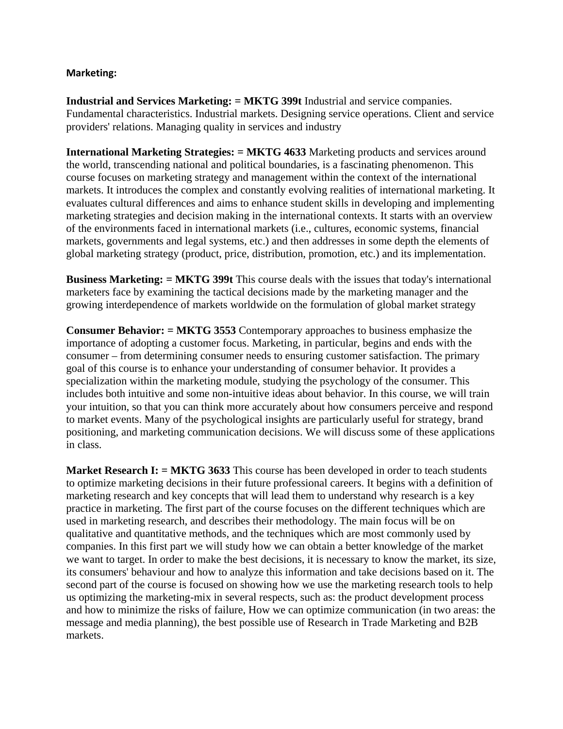#### **Marketing:**

**Industrial and Services Marketing: = MKTG 399t** Industrial and service companies. Fundamental characteristics. Industrial markets. Designing service operations. Client and service providers' relations. Managing quality in services and industry

**International Marketing Strategies: = MKTG 4633** Marketing products and services around the world, transcending national and political boundaries, is a fascinating phenomenon. This course focuses on marketing strategy and management within the context of the international markets. It introduces the complex and constantly evolving realities of international marketing. It evaluates cultural differences and aims to enhance student skills in developing and implementing marketing strategies and decision making in the international contexts. It starts with an overview of the environments faced in international markets (i.e., cultures, economic systems, financial markets, governments and legal systems, etc.) and then addresses in some depth the elements of global marketing strategy (product, price, distribution, promotion, etc.) and its implementation.

**Business Marketing: = MKTG 399t** This course deals with the issues that today's international marketers face by examining the tactical decisions made by the marketing manager and the growing interdependence of markets worldwide on the formulation of global market strategy

**Consumer Behavior: = MKTG 3553** Contemporary approaches to business emphasize the importance of adopting a customer focus. Marketing, in particular, begins and ends with the consumer – from determining consumer needs to ensuring customer satisfaction. The primary goal of this course is to enhance your understanding of consumer behavior. It provides a specialization within the marketing module, studying the psychology of the consumer. This includes both intuitive and some non-intuitive ideas about behavior. In this course, we will train your intuition, so that you can think more accurately about how consumers perceive and respond to market events. Many of the psychological insights are particularly useful for strategy, brand positioning, and marketing communication decisions. We will discuss some of these applications in class.

**Market Research I:** = **MKTG 3633** This course has been developed in order to teach students to optimize marketing decisions in their future professional careers. It begins with a definition of marketing research and key concepts that will lead them to understand why research is a key practice in marketing. The first part of the course focuses on the different techniques which are used in marketing research, and describes their methodology. The main focus will be on qualitative and quantitative methods, and the techniques which are most commonly used by companies. In this first part we will study how we can obtain a better knowledge of the market we want to target. In order to make the best decisions, it is necessary to know the market, its size, its consumers' behaviour and how to analyze this information and take decisions based on it. The second part of the course is focused on showing how we use the marketing research tools to help us optimizing the marketing-mix in several respects, such as: the product development process and how to minimize the risks of failure, How we can optimize communication (in two areas: the message and media planning), the best possible use of Research in Trade Marketing and B2B markets.